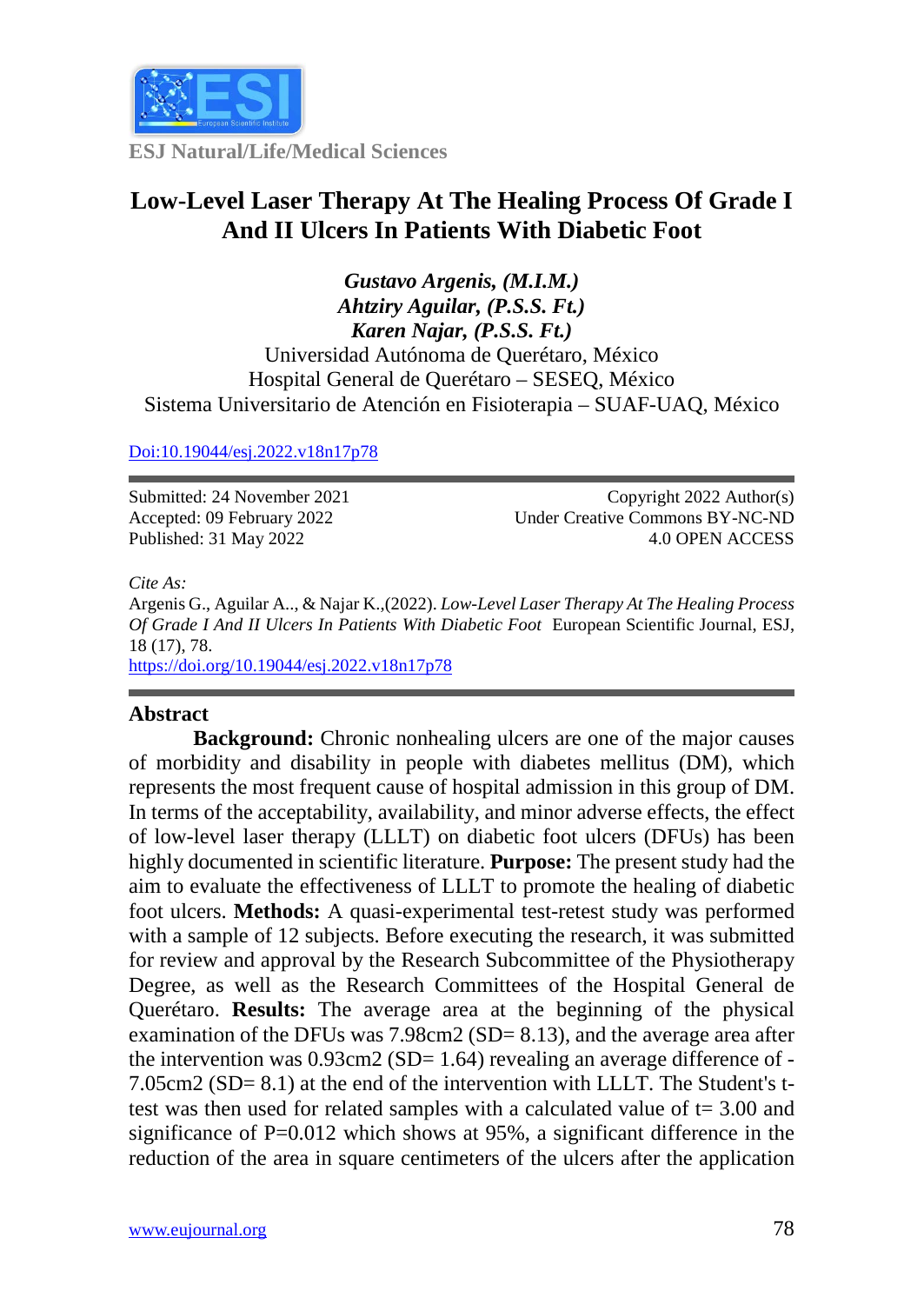

**ESJ Natural/Life/Medical Sciences**

# **Low-Level Laser Therapy At The Healing Process Of Grade I And II Ulcers In Patients With Diabetic Foot**

*Gustavo Argenis, (M.I.M.) Ahtziry Aguilar, (P.S.S. Ft.) Karen Najar, (P.S.S. Ft.)* Universidad Autónoma de Querétaro, México Hospital General de Querétaro – SESEQ, México Sistema Universitario de Atención en Fisioterapia – SUAF-UAQ, México

[Doi:10.19044/esj.2022.v18n17p78](https://doi.org/10.19044/esj.2021.v17n29p1)

Submitted: 24 November 2021 Accepted: 09 February 2022 Published: 31 May 2022

Copyright 2022 Author(s) Under Creative Commons BY-NC-ND 4.0 OPEN ACCESS

*Cite As:*

Argenis G., Aguilar A.., & Najar K.,(2022). *Low-Level Laser Therapy At The Healing Process Of Grade I And II Ulcers In Patients With Diabetic Foot* European Scientific Journal, ESJ, 18 (17), 78.

<https://doi.org/10.19044/esj.2022.v18n17p78>

## **Abstract**

**Background:** Chronic nonhealing ulcers are one of the major causes of morbidity and disability in people with diabetes mellitus (DM), which represents the most frequent cause of hospital admission in this group of DM. In terms of the acceptability, availability, and minor adverse effects, the effect of low-level laser therapy (LLLT) on diabetic foot ulcers (DFUs) has been highly documented in scientific literature. **Purpose:** The present study had the aim to evaluate the effectiveness of LLLT to promote the healing of diabetic foot ulcers. **Methods:** A quasi-experimental test-retest study was performed with a sample of 12 subjects. Before executing the research, it was submitted for review and approval by the Research Subcommittee of the Physiotherapy Degree, as well as the Research Committees of the Hospital General de Querétaro. **Results:** The average area at the beginning of the physical examination of the DFUs was 7.98cm2 (SD= 8.13), and the average area after the intervention was  $0.93 \text{cm}2 \text{ (SD= 1.64)}$  revealing an average difference of -7.05cm2 (SD= 8.1) at the end of the intervention with LLLT. The Student's ttest was then used for related samples with a calculated value of  $t = 3.00$  and significance of  $P=0.012$  which shows at 95%, a significant difference in the reduction of the area in square centimeters of the ulcers after the application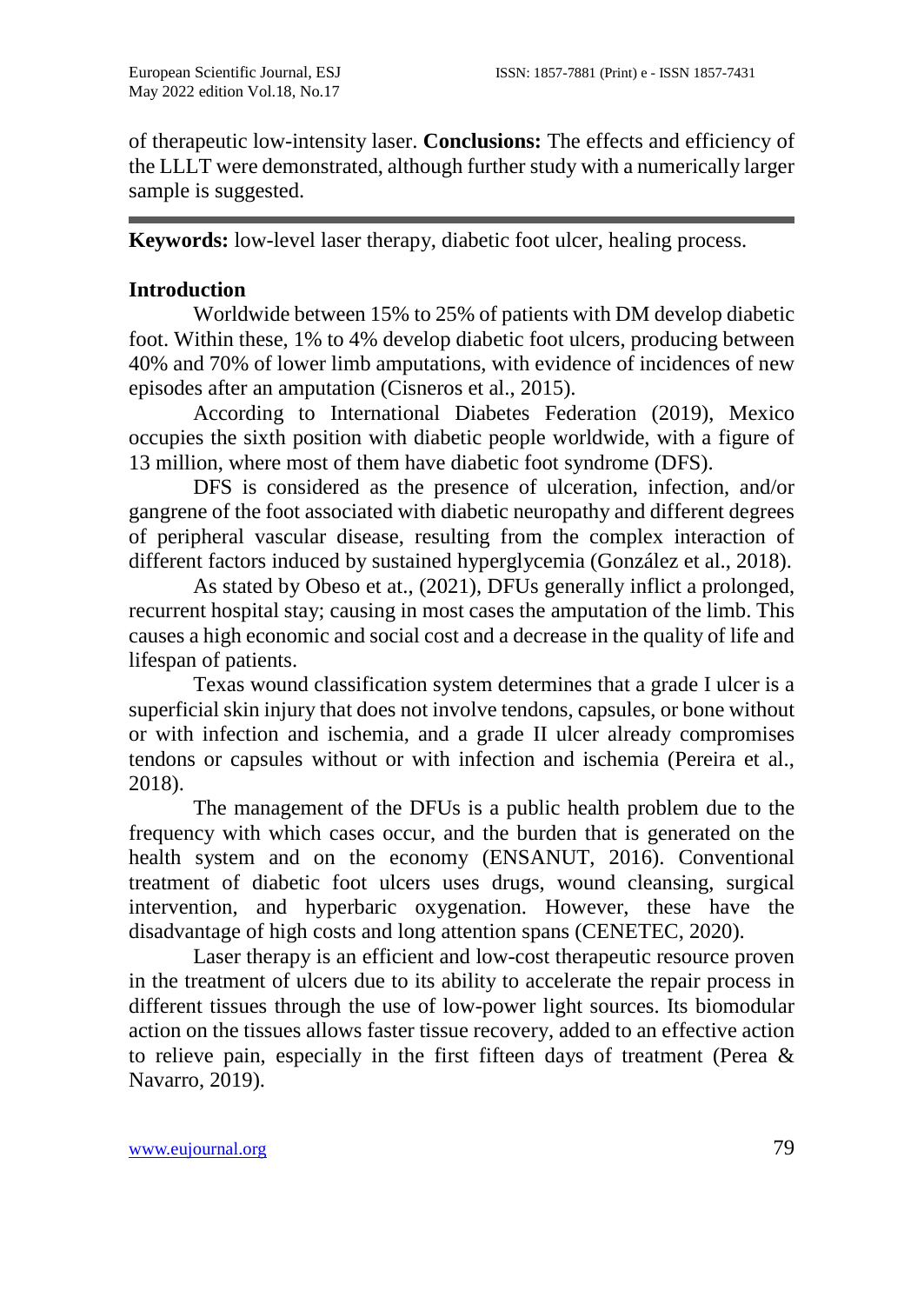of therapeutic low-intensity laser. **Conclusions:** The effects and efficiency of the LLLT were demonstrated, although further study with a numerically larger sample is suggested.

**Keywords:** low-level laser therapy, diabetic foot ulcer, healing process.

# **Introduction**

Worldwide between 15% to 25% of patients with DM develop diabetic foot. Within these, 1% to 4% develop diabetic foot ulcers, producing between 40% and 70% of lower limb amputations, with evidence of incidences of new episodes after an amputation (Cisneros et al., 2015).

According to International Diabetes Federation (2019), Mexico occupies the sixth position with diabetic people worldwide, with a figure of 13 million, where most of them have diabetic foot syndrome (DFS).

DFS is considered as the presence of ulceration, infection, and/or gangrene of the foot associated with diabetic neuropathy and different degrees of peripheral vascular disease, resulting from the complex interaction of different factors induced by sustained hyperglycemia (González et al., 2018).

As stated by Obeso et at., (2021), DFUs generally inflict a prolonged, recurrent hospital stay; causing in most cases the amputation of the limb. This causes a high economic and social cost and a decrease in the quality of life and lifespan of patients.

Texas wound classification system determines that a grade I ulcer is a superficial skin injury that does not involve tendons, capsules, or bone without or with infection and ischemia, and a grade II ulcer already compromises tendons or capsules without or with infection and ischemia (Pereira et al., 2018).

The management of the DFUs is a public health problem due to the frequency with which cases occur, and the burden that is generated on the health system and on the economy (ENSANUT, 2016). Conventional treatment of diabetic foot ulcers uses drugs, wound cleansing, surgical intervention, and hyperbaric oxygenation. However, these have the disadvantage of high costs and long attention spans (CENETEC, 2020).

Laser therapy is an efficient and low-cost therapeutic resource proven in the treatment of ulcers due to its ability to accelerate the repair process in different tissues through the use of low-power light sources. Its biomodular action on the tissues allows faster tissue recovery, added to an effective action to relieve pain, especially in the first fifteen days of treatment (Perea  $\&$ Navarro, 2019).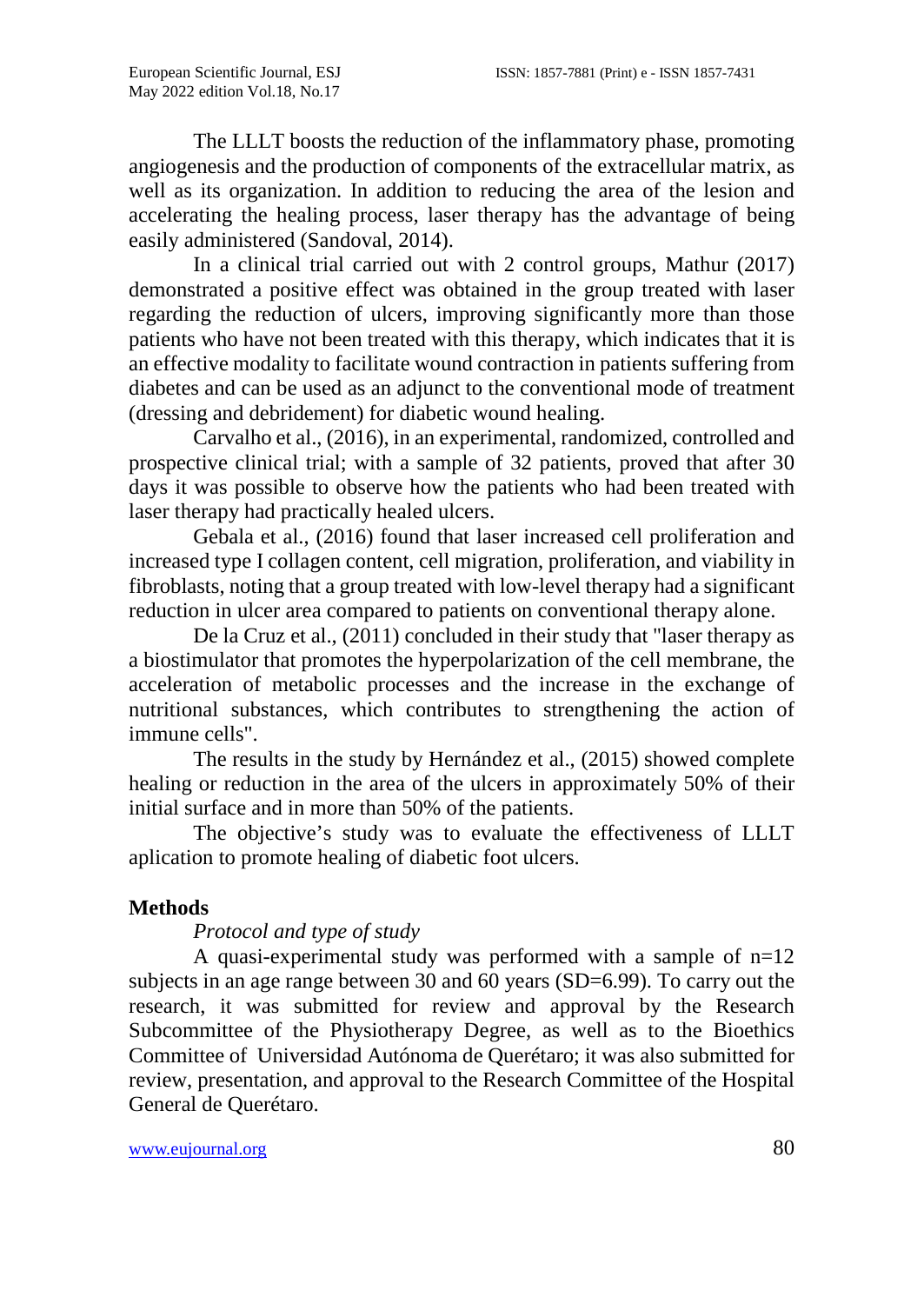The LLLT boosts the reduction of the inflammatory phase, promoting angiogenesis and the production of components of the extracellular matrix, as well as its organization. In addition to reducing the area of the lesion and accelerating the healing process, laser therapy has the advantage of being easily administered (Sandoval, 2014).

In a clinical trial carried out with 2 control groups, Mathur (2017) demonstrated a positive effect was obtained in the group treated with laser regarding the reduction of ulcers, improving significantly more than those patients who have not been treated with this therapy, which indicates that it is an effective modality to facilitate wound contraction in patients suffering from diabetes and can be used as an adjunct to the conventional mode of treatment (dressing and debridement) for diabetic wound healing.

Carvalho et al., (2016), in an experimental, randomized, controlled and prospective clinical trial; with a sample of 32 patients, proved that after 30 days it was possible to observe how the patients who had been treated with laser therapy had practically healed ulcers.

Gebala et al., (2016) found that laser increased cell proliferation and increased type I collagen content, cell migration, proliferation, and viability in fibroblasts, noting that a group treated with low-level therapy had a significant reduction in ulcer area compared to patients on conventional therapy alone.

De la Cruz et al., (2011) concluded in their study that "laser therapy as a biostimulator that promotes the hyperpolarization of the cell membrane, the acceleration of metabolic processes and the increase in the exchange of nutritional substances, which contributes to strengthening the action of immune cells".

The results in the study by Hernández et al., (2015) showed complete healing or reduction in the area of the ulcers in approximately 50% of their initial surface and in more than 50% of the patients.

The objective's study was to evaluate the effectiveness of LLLT aplication to promote healing of diabetic foot ulcers.

# **Methods**

## *Protocol and type of study*

A quasi-experimental study was performed with a sample of n=12 subjects in an age range between 30 and 60 years (SD=6.99). To carry out the research, it was submitted for review and approval by the Research Subcommittee of the Physiotherapy Degree, as well as to the Bioethics Committee of Universidad Autónoma de Querétaro; it was also submitted for review, presentation, and approval to the Research Committee of the Hospital General de Querétaro.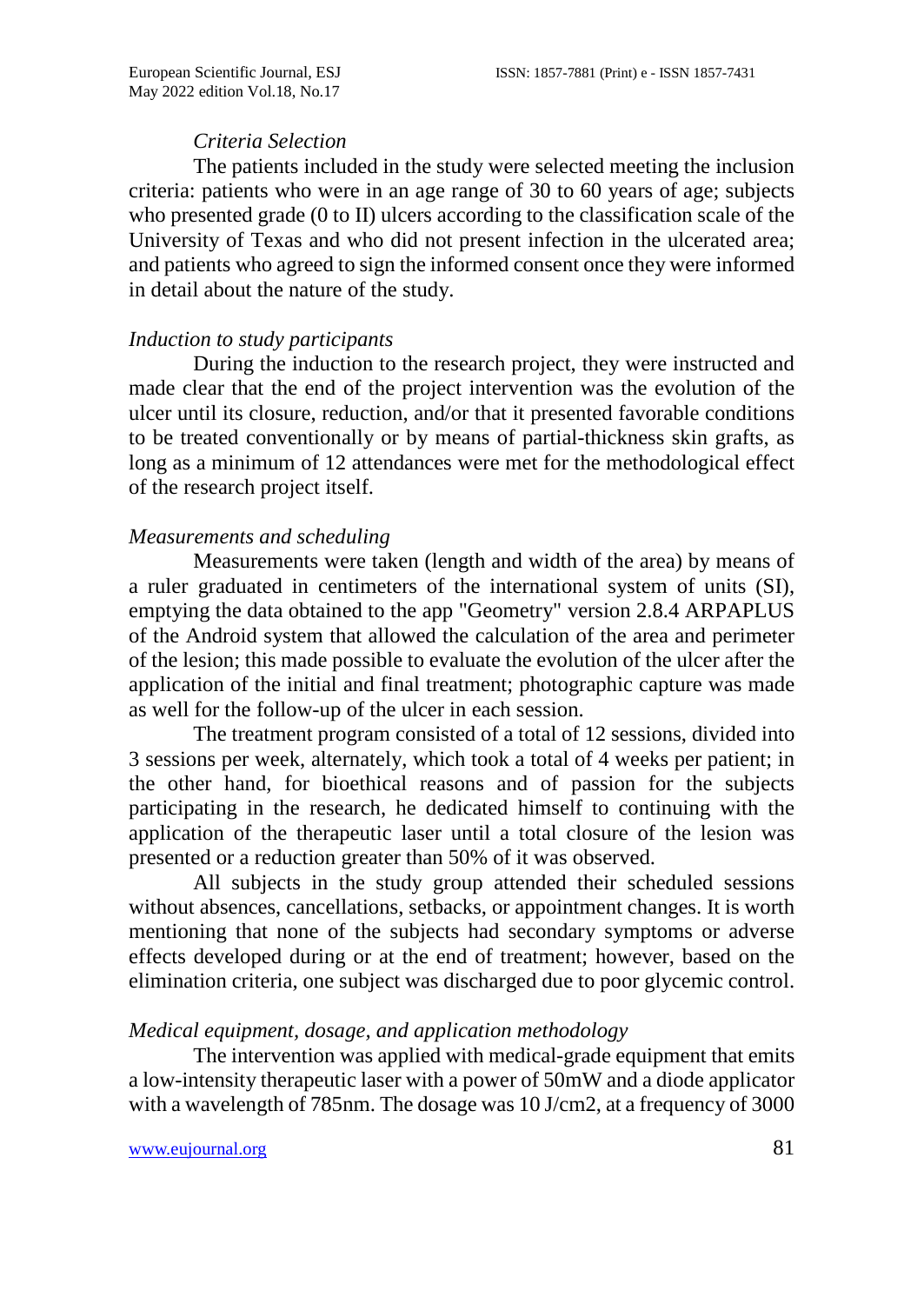#### *Criteria Selection*

The patients included in the study were selected meeting the inclusion criteria: patients who were in an age range of 30 to 60 years of age; subjects who presented grade (0 to II) ulcers according to the classification scale of the University of Texas and who did not present infection in the ulcerated area; and patients who agreed to sign the informed consent once they were informed in detail about the nature of the study.

#### *Induction to study participants*

During the induction to the research project, they were instructed and made clear that the end of the project intervention was the evolution of the ulcer until its closure, reduction, and/or that it presented favorable conditions to be treated conventionally or by means of partial-thickness skin grafts, as long as a minimum of 12 attendances were met for the methodological effect of the research project itself.

### *Measurements and scheduling*

Measurements were taken (length and width of the area) by means of a ruler graduated in centimeters of the international system of units (SI), emptying the data obtained to the app "Geometry" version 2.8.4 ARPAPLUS of the Android system that allowed the calculation of the area and perimeter of the lesion; this made possible to evaluate the evolution of the ulcer after the application of the initial and final treatment; photographic capture was made as well for the follow-up of the ulcer in each session.

The treatment program consisted of a total of 12 sessions, divided into 3 sessions per week, alternately, which took a total of 4 weeks per patient; in the other hand, for bioethical reasons and of passion for the subjects participating in the research, he dedicated himself to continuing with the application of the therapeutic laser until a total closure of the lesion was presented or a reduction greater than 50% of it was observed.

All subjects in the study group attended their scheduled sessions without absences, cancellations, setbacks, or appointment changes. It is worth mentioning that none of the subjects had secondary symptoms or adverse effects developed during or at the end of treatment; however, based on the elimination criteria, one subject was discharged due to poor glycemic control.

#### *Medical equipment, dosage, and application methodology*

The intervention was applied with medical-grade equipment that emits a low-intensity therapeutic laser with a power of 50mW and a diode applicator with a wavelength of 785nm. The dosage was 10 J/cm2, at a frequency of 3000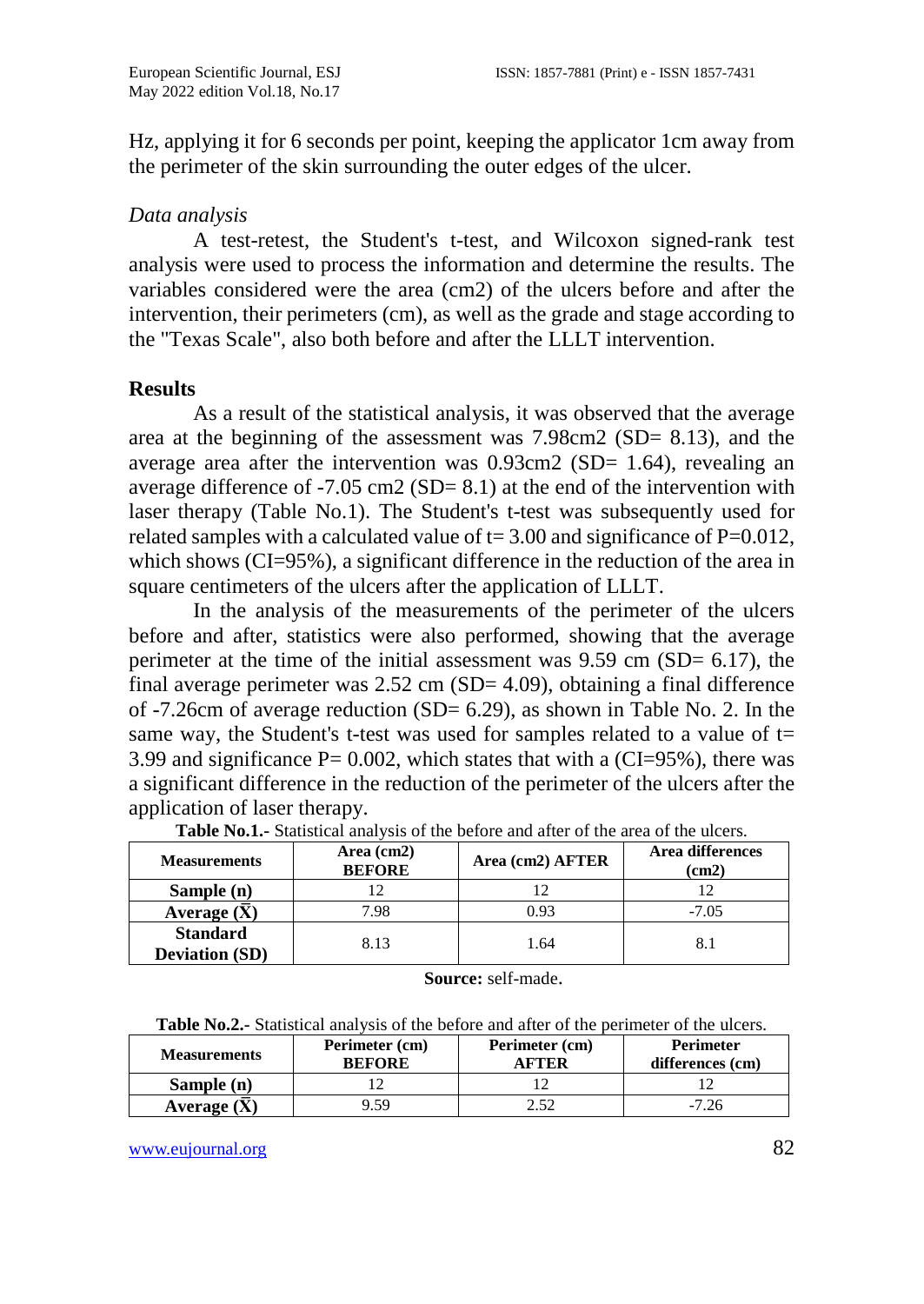Hz, applying it for 6 seconds per point, keeping the applicator 1cm away from the perimeter of the skin surrounding the outer edges of the ulcer.

## *Data analysis*

A test-retest, the Student's t-test, and Wilcoxon signed-rank test analysis were used to process the information and determine the results. The variables considered were the area (cm2) of the ulcers before and after the intervention, their perimeters (cm), as well as the grade and stage according to the "Texas Scale", also both before and after the LLLT intervention.

#### **Results**

As a result of the statistical analysis, it was observed that the average area at the beginning of the assessment was 7.98cm2 (SD= 8.13), and the average area after the intervention was 0.93cm2 (SD= 1.64), revealing an average difference of -7.05 cm2 (SD=  $8.1$ ) at the end of the intervention with laser therapy (Table No.1). The Student's t-test was subsequently used for related samples with a calculated value of  $t = 3.00$  and significance of P=0.012, which shows (CI=95%), a significant difference in the reduction of the area in square centimeters of the ulcers after the application of LLLT.

In the analysis of the measurements of the perimeter of the ulcers before and after, statistics were also performed, showing that the average perimeter at the time of the initial assessment was  $9.59$  cm (SD=  $6.17$ ), the final average perimeter was 2.52 cm (SD= 4.09), obtaining a final difference of  $-7.26$ cm of average reduction (SD= 6.29), as shown in Table No. 2. In the same way, the Student's t-test was used for samples related to a value of  $t=$ 3.99 and significance  $P = 0.002$ , which states that with a (CI=95%), there was a significant difference in the reduction of the perimeter of the ulcers after the application of laser therapy.

| <b>Measurements</b>                      | Area (cm2)<br><b>BEFORE</b> | Area (cm2) AFTER | Area differences<br>(cm2) |
|------------------------------------------|-----------------------------|------------------|---------------------------|
| Sample (n)                               |                             |                  |                           |
| Average $(\overline{X})$                 | 7.98                        | 0.93             | $-7.05$                   |
| <b>Standard</b><br><b>Deviation (SD)</b> | 8.13                        | 1.64             |                           |

| <b>Table No.1.</b> Statistical analysis of the before and after of the area of the ulcers. |  |
|--------------------------------------------------------------------------------------------|--|
|--------------------------------------------------------------------------------------------|--|

**Source:** self-made.

| <b>Measurements</b> | Perimeter (cm)<br><b>BEFORE</b> | Perimeter (cm)<br>A FTER | <b>Perimeter</b><br>differences (cm) |
|---------------------|---------------------------------|--------------------------|--------------------------------------|
| Sample (n)          |                                 |                          |                                      |
| Average $(X)$       | 9.59                            |                          | 7.26                                 |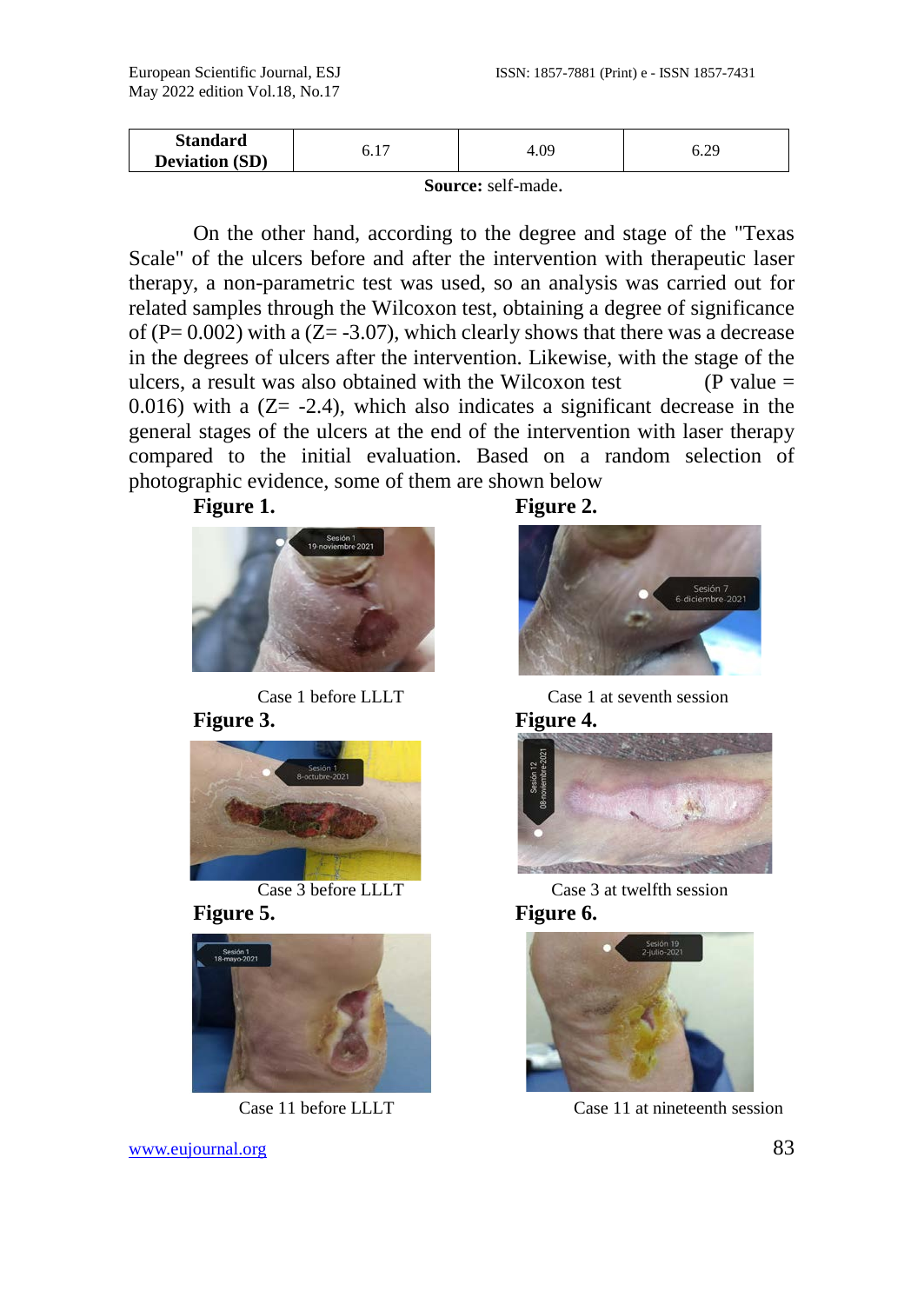| <b>Standard</b>       | -    | 4.09 | $\gamma$ C |
|-----------------------|------|------|------------|
| <b>Deviation (SD)</b> | ∪.⊥. |      | ◡.∠.       |
|                       |      |      |            |

**Source:** self-made.

On the other hand, according to the degree and stage of the "Texas Scale" of the ulcers before and after the intervention with therapeutic laser therapy, a non-parametric test was used, so an analysis was carried out for related samples through the Wilcoxon test, obtaining a degree of significance of (P=  $0.002$ ) with a (Z= -3.07), which clearly shows that there was a decrease in the degrees of ulcers after the intervention. Likewise, with the stage of the ulcers, a result was also obtained with the Wilcoxon test  $(P value =$ 0.016) with a  $(Z = -2.4)$ , which also indicates a significant decrease in the general stages of the ulcers at the end of the intervention with laser therapy compared to the initial evaluation. Based on a random selection of photographic evidence, some of them are shown below















Case 1 before LLLT Case 1 at seventh session



Case 3 before LLLT Case 3 at twelfth session



Case 11 before LLLT Case 11 at nineteenth session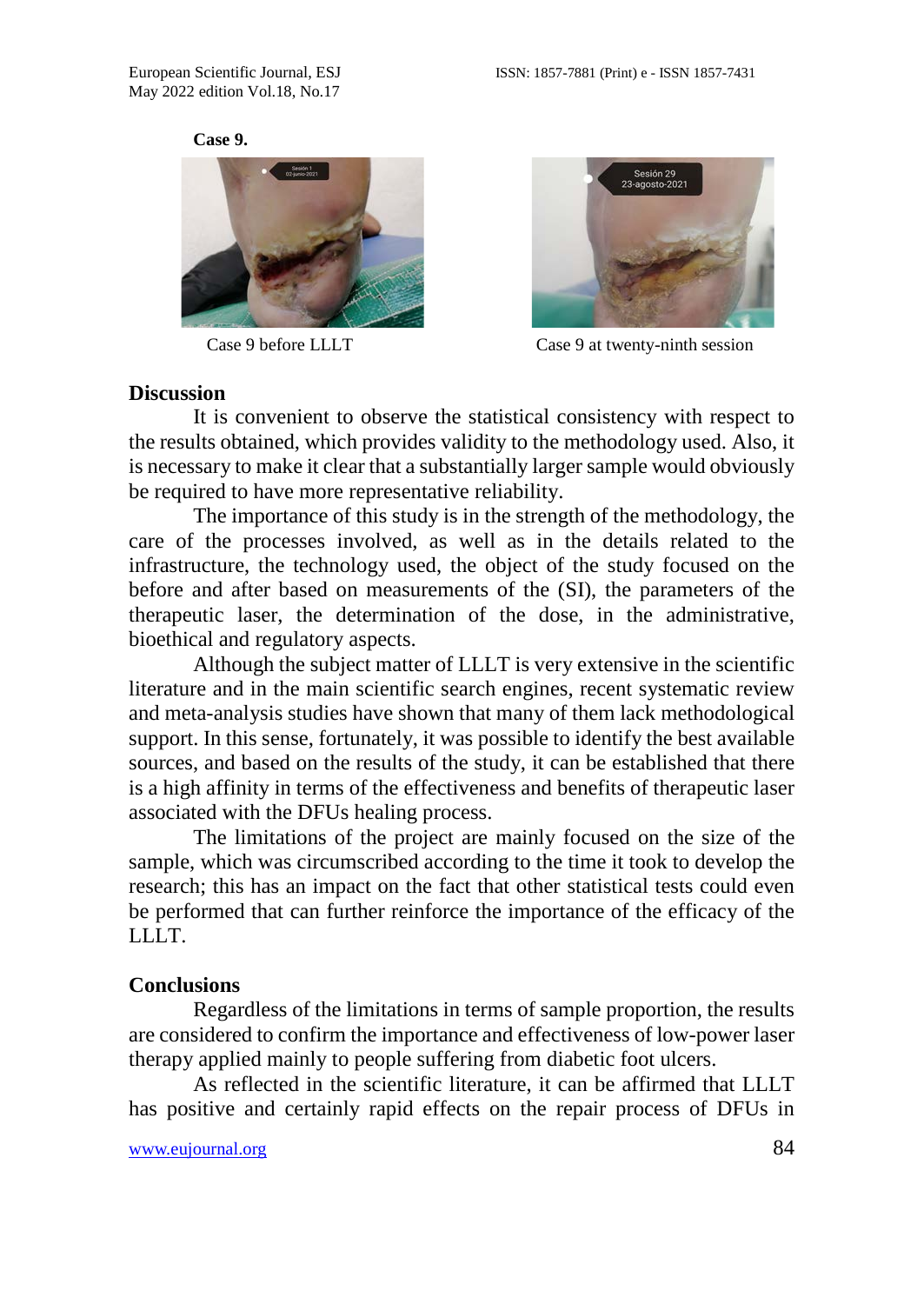





Case 9 before LLLT Case 9 at twenty-ninth session

#### **Discussion**

It is convenient to observe the statistical consistency with respect to the results obtained, which provides validity to the methodology used. Also, it is necessary to make it clear that a substantially larger sample would obviously be required to have more representative reliability.

The importance of this study is in the strength of the methodology, the care of the processes involved, as well as in the details related to the infrastructure, the technology used, the object of the study focused on the before and after based on measurements of the (SI), the parameters of the therapeutic laser, the determination of the dose, in the administrative, bioethical and regulatory aspects.

Although the subject matter of LLLT is very extensive in the scientific literature and in the main scientific search engines, recent systematic review and meta-analysis studies have shown that many of them lack methodological support. In this sense, fortunately, it was possible to identify the best available sources, and based on the results of the study, it can be established that there is a high affinity in terms of the effectiveness and benefits of therapeutic laser associated with the DFUs healing process.

The limitations of the project are mainly focused on the size of the sample, which was circumscribed according to the time it took to develop the research; this has an impact on the fact that other statistical tests could even be performed that can further reinforce the importance of the efficacy of the LLLT.

#### **Conclusions**

Regardless of the limitations in terms of sample proportion, the results are considered to confirm the importance and effectiveness of low-power laser therapy applied mainly to people suffering from diabetic foot ulcers.

As reflected in the scientific literature, it can be affirmed that LLLT has positive and certainly rapid effects on the repair process of DFUs in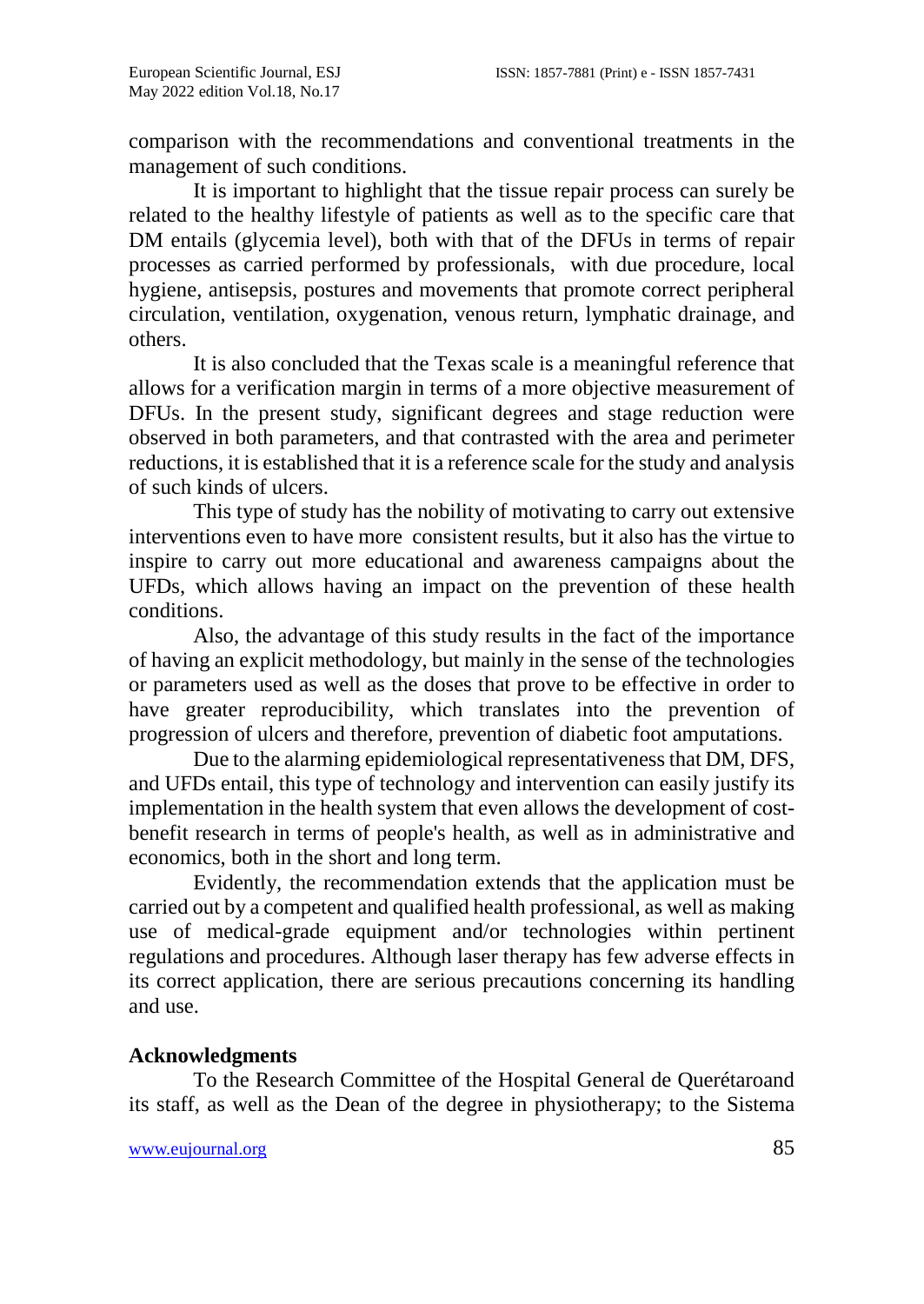comparison with the recommendations and conventional treatments in the management of such conditions.

It is important to highlight that the tissue repair process can surely be related to the healthy lifestyle of patients as well as to the specific care that DM entails (glycemia level), both with that of the DFUs in terms of repair processes as carried performed by professionals, with due procedure, local hygiene, antisepsis, postures and movements that promote correct peripheral circulation, ventilation, oxygenation, venous return, lymphatic drainage, and others.

It is also concluded that the Texas scale is a meaningful reference that allows for a verification margin in terms of a more objective measurement of DFUs. In the present study, significant degrees and stage reduction were observed in both parameters, and that contrasted with the area and perimeter reductions, it is established that it is a reference scale for the study and analysis of such kinds of ulcers.

This type of study has the nobility of motivating to carry out extensive interventions even to have more consistent results, but it also has the virtue to inspire to carry out more educational and awareness campaigns about the UFDs, which allows having an impact on the prevention of these health conditions.

Also, the advantage of this study results in the fact of the importance of having an explicit methodology, but mainly in the sense of the technologies or parameters used as well as the doses that prove to be effective in order to have greater reproducibility, which translates into the prevention of progression of ulcers and therefore, prevention of diabetic foot amputations.

Due to the alarming epidemiological representativeness that DM, DFS, and UFDs entail, this type of technology and intervention can easily justify its implementation in the health system that even allows the development of costbenefit research in terms of people's health, as well as in administrative and economics, both in the short and long term.

Evidently, the recommendation extends that the application must be carried out by a competent and qualified health professional, as well as making use of medical-grade equipment and/or technologies within pertinent regulations and procedures. Although laser therapy has few adverse effects in its correct application, there are serious precautions concerning its handling and use.

# **Acknowledgments**

To the Research Committee of the Hospital General de Querétaroand its staff, as well as the Dean of the degree in physiotherapy; to the Sistema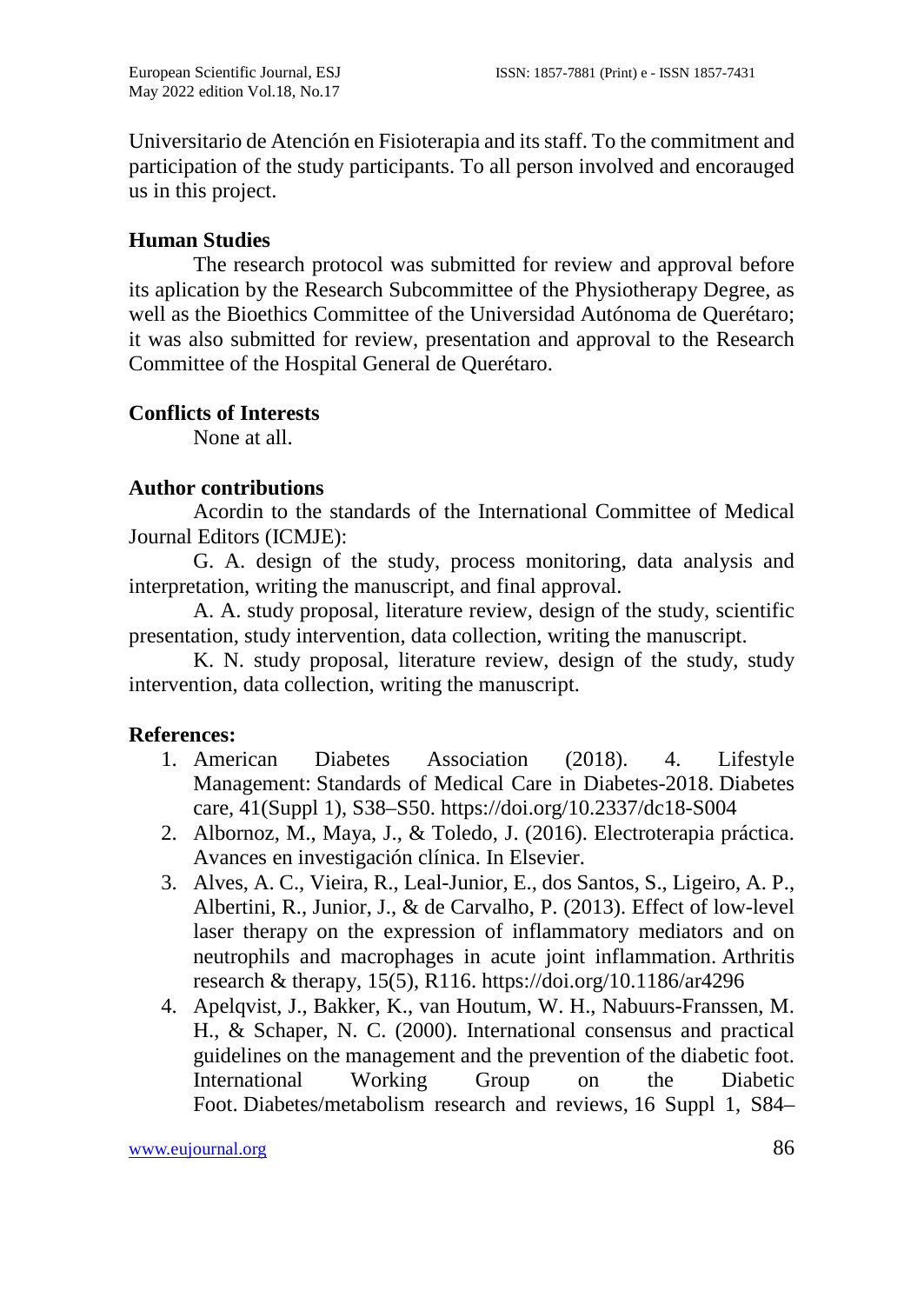Universitario de Atención en Fisioterapia and its staff. To the commitment and participation of the study participants. To all person involved and encorauged us in this project.

# **Human Studies**

The research protocol was submitted for review and approval before its aplication by the Research Subcommittee of the Physiotherapy Degree, as well as the Bioethics Committee of the Universidad Autónoma de Querétaro; it was also submitted for review, presentation and approval to the Research Committee of the Hospital General de Querétaro.

## **Conflicts of Interests**

None at all.

# **Author contributions**

Acordin to the standards of the International Committee of Medical Journal Editors (ICMJE):

G. A. design of the study, process monitoring, data analysis and interpretation, writing the manuscript, and final approval.

A. A. study proposal, literature review, design of the study, scientific presentation, study intervention, data collection, writing the manuscript.

K. N. study proposal, literature review, design of the study, study intervention, data collection, writing the manuscript.

## **References:**

- 1. American Diabetes Association (2018). 4. Lifestyle Management: Standards of Medical Care in Diabetes-2018. Diabetes care, 41(Suppl 1), S38–S50. https://doi.org/10.2337/dc18-S004
- 2. Albornoz, M., Maya, J., & Toledo, J. (2016). Electroterapia práctica. Avances en investigación clínica. In Elsevier.
- 3. Alves, A. C., Vieira, R., Leal-Junior, E., dos Santos, S., Ligeiro, A. P., Albertini, R., Junior, J., & de Carvalho, P. (2013). Effect of low-level laser therapy on the expression of inflammatory mediators and on neutrophils and macrophages in acute joint inflammation. Arthritis research & therapy, 15(5), R116. https://doi.org/10.1186/ar4296
- 4. Apelqvist, J., Bakker, K., van Houtum, W. H., Nabuurs-Franssen, M. H., & Schaper, N. C. (2000). International consensus and practical guidelines on the management and the prevention of the diabetic foot. International Working Group on the Diabetic Foot. Diabetes/metabolism research and reviews, 16 Suppl 1, S84–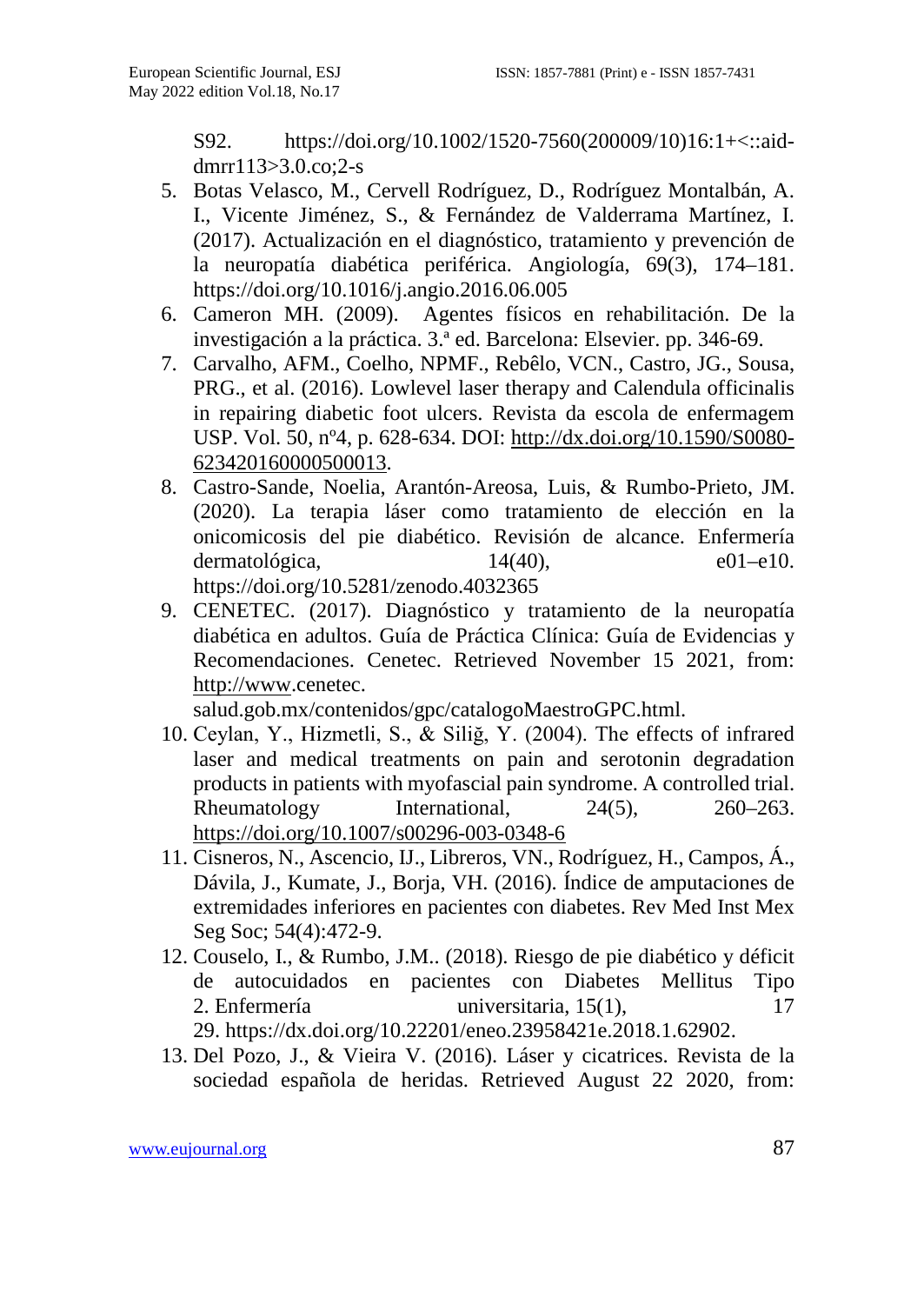S92. https://doi.org/10.1002/1520-7560(200009/10)16:1+<::aiddmrr113>3.0.co;2-s

- 5. Botas Velasco, M., Cervell Rodríguez, D., Rodríguez Montalbán, A. I., Vicente Jiménez, S., & Fernández de Valderrama Martínez, I. (2017). Actualización en el diagnóstico, tratamiento y prevención de la neuropatía diabética periférica. Angiología, 69(3), 174–181. https://doi.org/10.1016/j.angio.2016.06.005
- 6. Cameron MH. (2009). Agentes físicos en rehabilitación. De la investigación a la práctica. 3.ª ed. Barcelona: Elsevier. pp. 346-69.
- 7. Carvalho, AFM., Coelho, NPMF., Rebêlo, VCN., Castro, JG., Sousa, PRG., et al. (2016). Lowlevel laser therapy and Calendula officinalis in repairing diabetic foot ulcers. Revista da escola de enfermagem USP. Vol. 50, nº4, p. 628-634. DOI: [http://dx.doi.org/10.1590/S0080-](http://dx.doi.org/10.1590/S0080-623420160000500013) [623420160000500013.](http://dx.doi.org/10.1590/S0080-623420160000500013)
- 8. Castro-Sande, Noelia, Arantón-Areosa, Luis, & Rumbo-Prieto, JM. (2020). La terapia láser como tratamiento de elección en la onicomicosis del pie diabético. Revisión de alcance. Enfermería dermatológica,  $14(40)$ , e01–e10. https://doi.org/10.5281/zenodo.4032365
- 9. CENETEC. (2017). Diagnóstico y tratamiento de la neuropatía diabética en adultos. Guía de Práctica Clínica: Guía de Evidencias y Recomendaciones. Cenetec. Retrieved November 15 2021, from: [http://www.](http://www/)cenetec.

salud.gob.mx/contenidos/gpc/catalogoMaestroGPC.html.

- 10. Ceylan, Y., Hizmetli, S., & Siliğ, Y. (2004). The effects of infrared laser and medical treatments on pain and serotonin degradation products in patients with myofascial pain syndrome. A controlled trial.<br>Rheumatology International, 24(5), 260–263. Rheumatology International, 24(5), 260–263. <https://doi.org/10.1007/s00296-003-0348-6>
- 11. Cisneros, N., Ascencio, IJ., Libreros, VN., Rodríguez, H., Campos, Á., Dávila, J., Kumate, J., Borja, VH. (2016). Índice de amputaciones de extremidades inferiores en pacientes con diabetes. Rev Med Inst Mex Seg Soc; 54(4):472-9.
- 12. Couselo, I., & Rumbo, J.M.. (2018). Riesgo de pie diabético y déficit de autocuidados en pacientes con Diabetes Mellitus Tipo 2. Enfermería universitaria, 15(1), 17 29. https://dx.doi.org/10.22201/eneo.23958421e.2018.1.62902.
- 13. Del Pozo, J., & Vieira V. (2016). Láser y cicatrices. Revista de la sociedad española de heridas. Retrieved August 22 2020, from: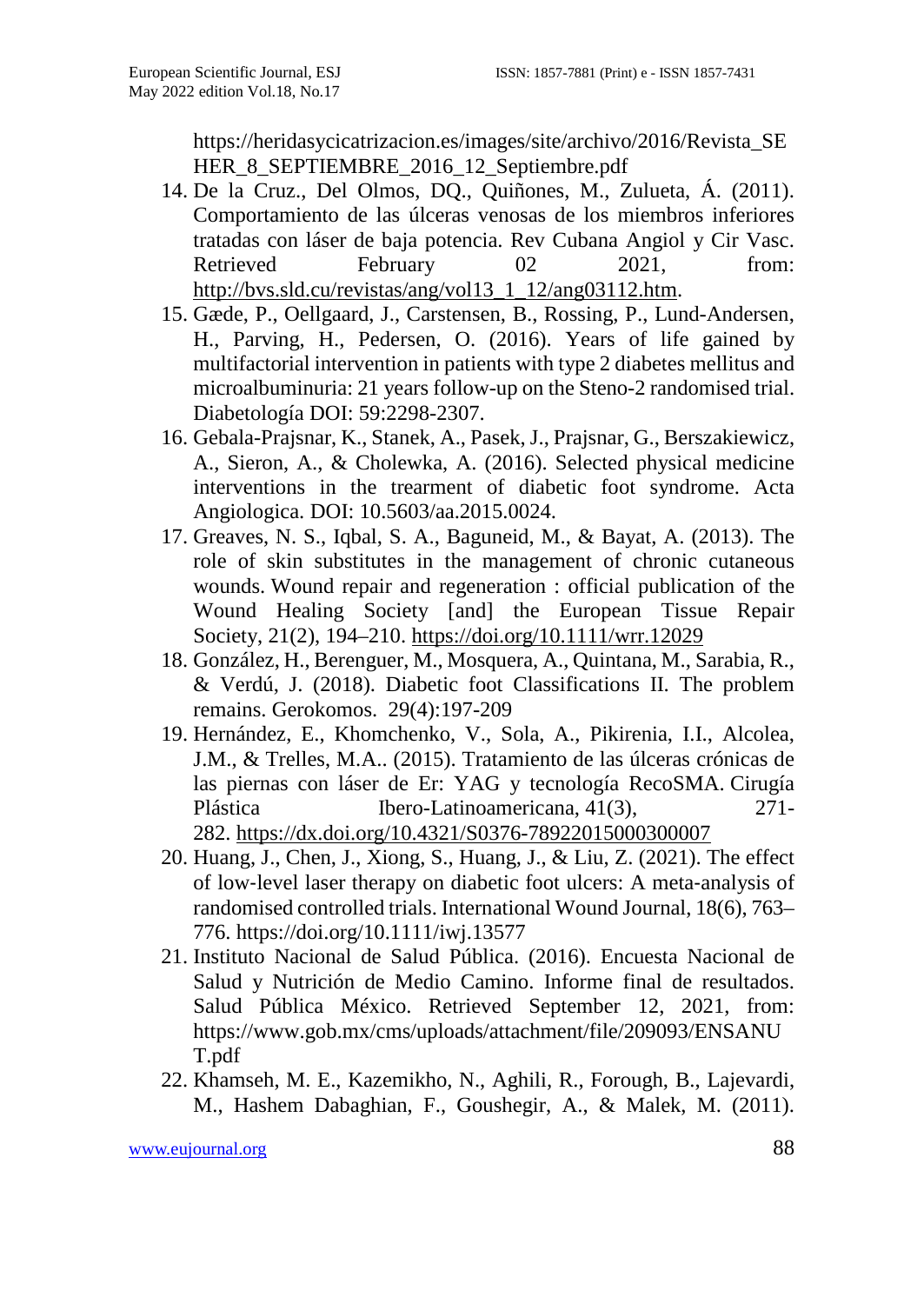https://heridasycicatrizacion.es/images/site/archivo/2016/Revista\_SE HER\_8\_SEPTIEMBRE\_2016\_12\_Septiembre.pdf

- 14. De la Cruz., Del Olmos, DQ., Quiñones, M., Zulueta, Á. (2011). Comportamiento de las úlceras venosas de los miembros inferiores tratadas con láser de baja potencia. Rev Cubana Angiol y Cir Vasc. Retrieved February 02 2021, from: [http://bvs.sld.cu/revistas/ang/vol13\\_1\\_12/ang03112.htm.](http://bvs.sld.cu/revistas/ang/vol13_1_12/ang03112.htm)
- 15. Gæde, P., Oellgaard, J., Carstensen, B., Rossing, P., Lund-Andersen, H., Parving, H., Pedersen, O. (2016). Years of life gained by multifactorial intervention in patients with type 2 diabetes mellitus and microalbuminuria: 21 years follow-up on the Steno-2 randomised trial. Diabetología DOI: 59:2298-2307.
- 16. Gebala-Prajsnar, K., Stanek, A., Pasek, J., Prajsnar, G., Berszakiewicz, A., Sieron, A., & Cholewka, A. (2016). Selected physical medicine interventions in the trearment of diabetic foot syndrome. Acta Angiologica. DOI: 10.5603/aa.2015.0024.
- 17. Greaves, N. S., Iqbal, S. A., Baguneid, M., & Bayat, A. (2013). The role of skin substitutes in the management of chronic cutaneous wounds. Wound repair and regeneration : official publication of the Wound Healing Society [and] the European Tissue Repair Society, 21(2), 194–210.<https://doi.org/10.1111/wrr.12029>
- 18. González, H., Berenguer, M., Mosquera, A., Quintana, M., Sarabia, R., & Verdú, J. (2018). Diabetic foot Classifications II. The problem remains. Gerokomos. 29(4):197-209
- 19. Hernández, E., Khomchenko, V., Sola, A., Pikirenia, I.I., Alcolea, J.M., & Trelles, M.A.. (2015). Tratamiento de las úlceras crónicas de las piernas con láser de Er: YAG y tecnología RecoSMA. Cirugía Plástica Ibero-Latinoamericana, 41(3), 271-282. <https://dx.doi.org/10.4321/S0376-78922015000300007>
- 20. Huang, J., Chen, J., Xiong, S., Huang, J., & Liu, Z. (2021). The effect of low‐level laser therapy on diabetic foot ulcers: A meta‐analysis of randomised controlled trials. International Wound Journal, 18(6), 763– 776. https://doi.org/10.1111/iwj.13577
- 21. Instituto Nacional de Salud Pública. (2016). Encuesta Nacional de Salud y Nutrición de Medio Camino. Informe final de resultados. Salud Pública México. Retrieved September 12, 2021, from: https://www.gob.mx/cms/uploads/attachment/file/209093/ENSANU T.pdf
- 22. Khamseh, M. E., Kazemikho, N., Aghili, R., Forough, B., Lajevardi, M., Hashem Dabaghian, F., Goushegir, A., & Malek, M. (2011).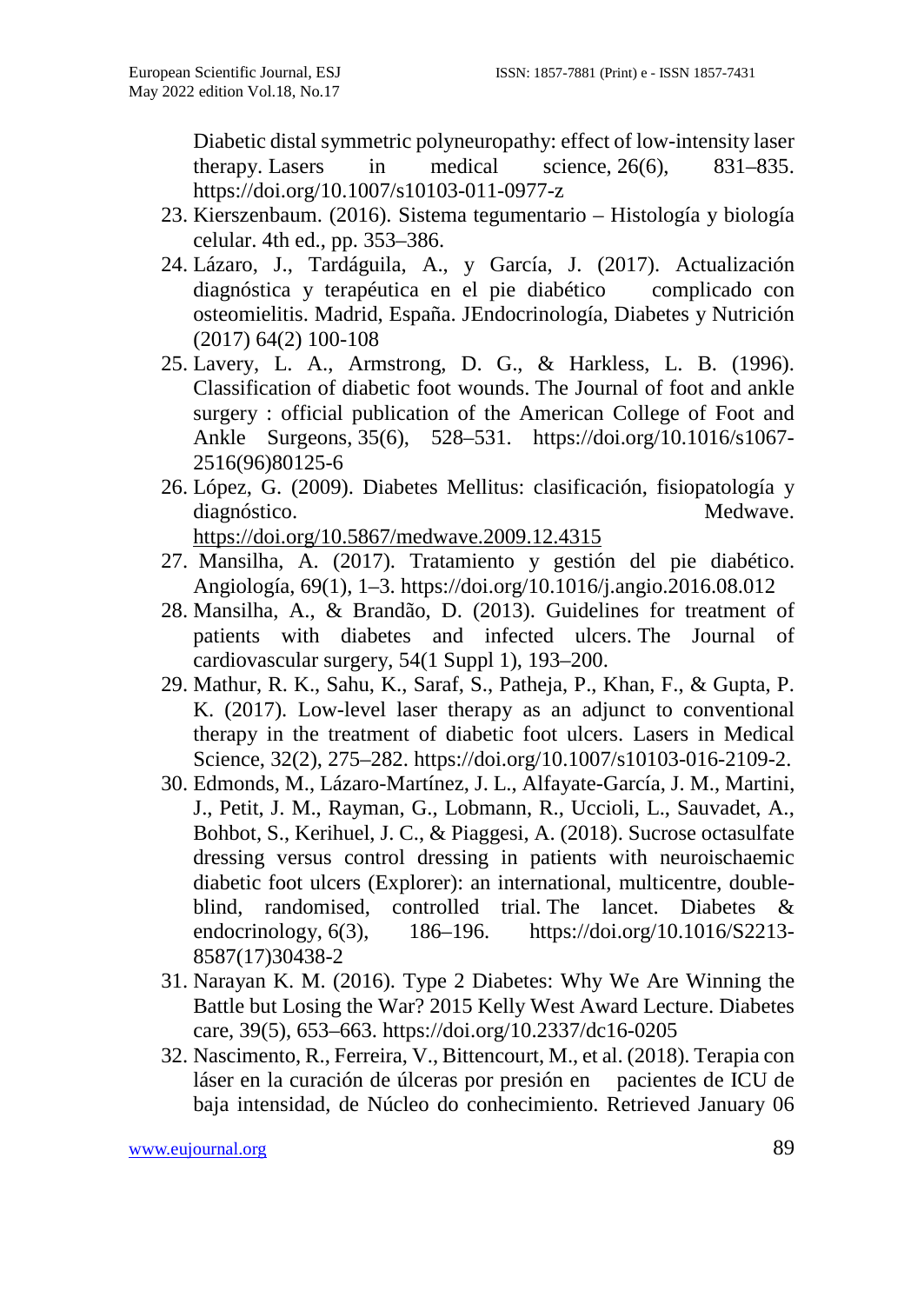Diabetic distal symmetric polyneuropathy: effect of low-intensity laser therapy. Lasers in medical science, 26(6), 831–835. https://doi.org/10.1007/s10103-011-0977-z

- 23. Kierszenbaum. (2016). Sistema tegumentario Histología y biología celular. 4th ed., pp. 353–386.
- 24. Lázaro, J., Tardáguila, A., y García, J. (2017). Actualización diagnóstica y terapéutica en el pie diabético complicado con osteomielitis. Madrid, España. JEndocrinología, Diabetes y Nutrición (2017) 64(2) 100-108
- 25. Lavery, L. A., Armstrong, D. G., & Harkless, L. B. (1996). Classification of diabetic foot wounds. The Journal of foot and ankle surgery : official publication of the American College of Foot and Ankle Surgeons, 35(6), 528–531. https://doi.org/10.1016/s1067- 2516(96)80125-6
- 26. López, G. (2009). Diabetes Mellitus: clasificación, fisiopatología y diagnóstico. Medwave. <https://doi.org/10.5867/medwave.2009.12.4315>
- 27. Mansilha, A. (2017). Tratamiento y gestión del pie diabético. Angiología, 69(1), 1–3. https://doi.org/10.1016/j.angio.2016.08.012
- 28. Mansilha, A., & Brandão, D. (2013). Guidelines for treatment of patients with diabetes and infected ulcers. The Journal of cardiovascular surgery, 54(1 Suppl 1), 193–200.
- 29. Mathur, R. K., Sahu, K., Saraf, S., Patheja, P., Khan, F., & Gupta, P. K. (2017). Low-level laser therapy as an adjunct to conventional therapy in the treatment of diabetic foot ulcers. Lasers in Medical Science, 32(2), 275–282. https://doi.org/10.1007/s10103-016-2109-2.
- 30. Edmonds, M., Lázaro-Martínez, J. L., Alfayate-García, J. M., Martini, J., Petit, J. M., Rayman, G., Lobmann, R., Uccioli, L., Sauvadet, A., Bohbot, S., Kerihuel, J. C., & Piaggesi, A. (2018). Sucrose octasulfate dressing versus control dressing in patients with neuroischaemic diabetic foot ulcers (Explorer): an international, multicentre, doubleblind, randomised, controlled trial. The lancet. Diabetes & endocrinology, 6(3), 186–196. https://doi.org/10.1016/S2213-186–196. https://doi.org/10.1016/S2213-8587(17)30438-2
- 31. Narayan K. M. (2016). Type 2 Diabetes: Why We Are Winning the Battle but Losing the War? 2015 Kelly West Award Lecture. Diabetes care, 39(5), 653–663. https://doi.org/10.2337/dc16-0205
- 32. Nascimento, R., Ferreira, V., Bittencourt, M., et al. (2018). Terapia con láser en la curación de úlceras por presión en pacientes de ICU de baja intensidad, de Núcleo do conhecimiento. Retrieved January 06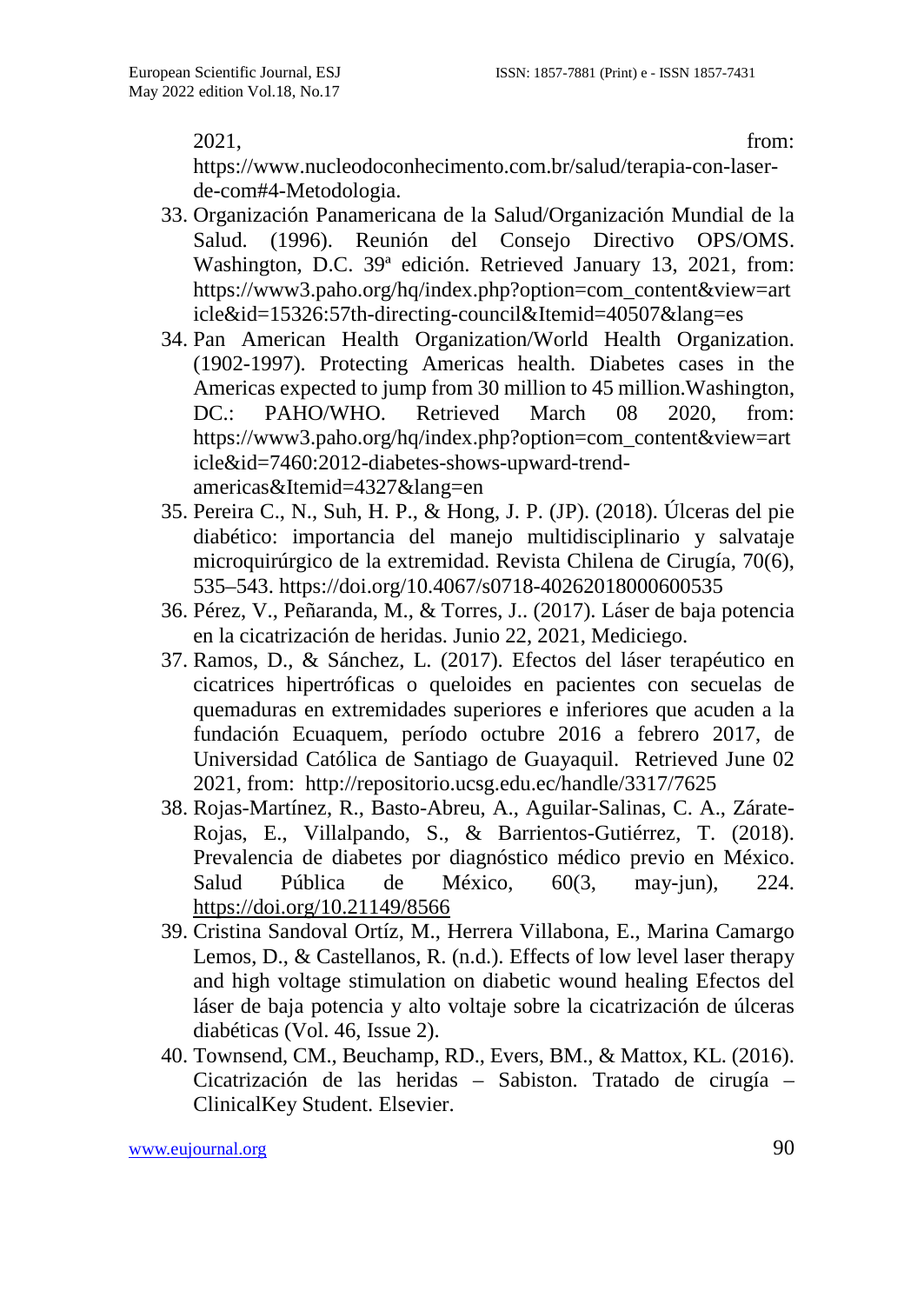2021, from:

https://www.nucleodoconhecimento.com.br/salud/terapia-con-laserde-com#4-Metodologia.

- 33. Organización Panamericana de la Salud/Organización Mundial de la Salud. (1996). Reunión del Consejo Directivo OPS/OMS. Washington, D.C. 39ª edición. Retrieved January 13, 2021, from: https://www3.paho.org/hq/index.php?option=com\_content&view=art icle&id=15326:57th-directing-council&Itemid=40507&lang=es
- 34. Pan American Health Organization/World Health Organization. (1902-1997). Protecting Americas health. Diabetes cases in the Americas expected to jump from 30 million to 45 million.Washington, DC.: PAHO/WHO. Retrieved March 08 2020, from: https://www3.paho.org/hq/index.php?option=com\_content&view=art icle&id=7460:2012-diabetes-shows-upward-trendamericas&Itemid=4327&lang=en
- 35. Pereira C., N., Suh, H. P., & Hong, J. P. (JP). (2018). Úlceras del pie diabético: importancia del manejo multidisciplinario y salvataje microquirúrgico de la extremidad. Revista Chilena de Cirugía, 70(6), 535–543. https://doi.org/10.4067/s0718-40262018000600535
- 36. Pérez, V., Peñaranda, M., & Torres, J.. (2017). Láser de baja potencia en la cicatrización de heridas. Junio 22, 2021, Mediciego.
- 37. Ramos, D., & Sánchez, L. (2017). Efectos del láser terapéutico en cicatrices hipertróficas o queloides en pacientes con secuelas de quemaduras en extremidades superiores e inferiores que acuden a la fundación Ecuaquem, período octubre 2016 a febrero 2017, de Universidad Católica de Santiago de Guayaquil. Retrieved June 02 2021, from: http://repositorio.ucsg.edu.ec/handle/3317/7625
- 38. Rojas-Martínez, R., Basto-Abreu, A., Aguilar-Salinas, C. A., Zárate-Rojas, E., Villalpando, S., & Barrientos-Gutiérrez, T. (2018). Prevalencia de diabetes por diagnóstico médico previo en México. Salud Pública de México, 60(3, may-jun), 224. <https://doi.org/10.21149/8566>
- 39. Cristina Sandoval Ortíz, M., Herrera Villabona, E., Marina Camargo Lemos, D., & Castellanos, R. (n.d.). Effects of low level laser therapy and high voltage stimulation on diabetic wound healing Efectos del láser de baja potencia y alto voltaje sobre la cicatrización de úlceras diabéticas (Vol. 46, Issue 2).
- 40. Townsend, CM., Beuchamp, RD., Evers, BM., & Mattox, KL. (2016). Cicatrización de las heridas – Sabiston. Tratado de cirugía – ClinicalKey Student. Elsevier.